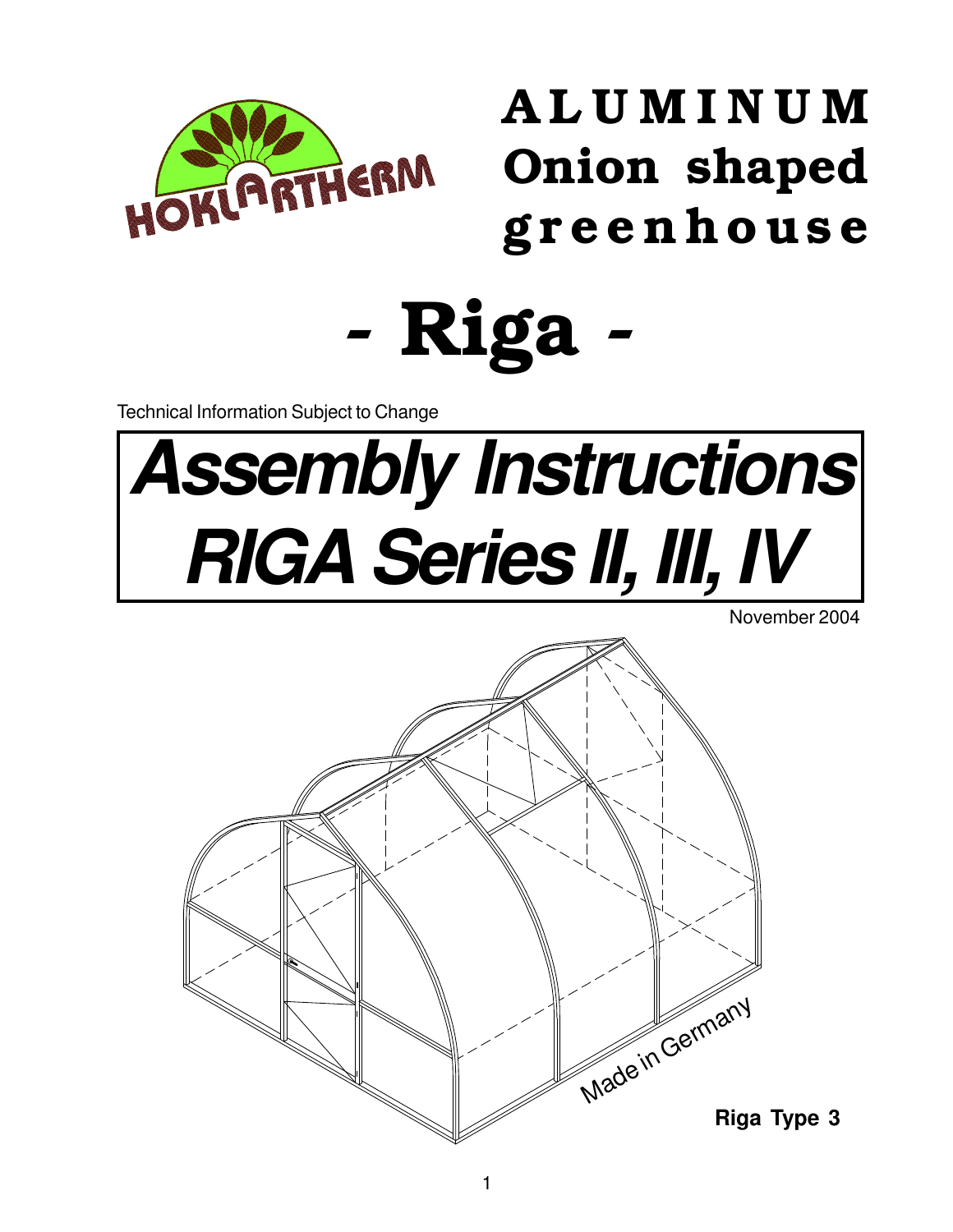

ALUMINUM Onion shaped greenhouse

- Riga -

Technical Information Subject to Change

# **Assembly Instructions RIGA Series II, III, IV**

November 2004

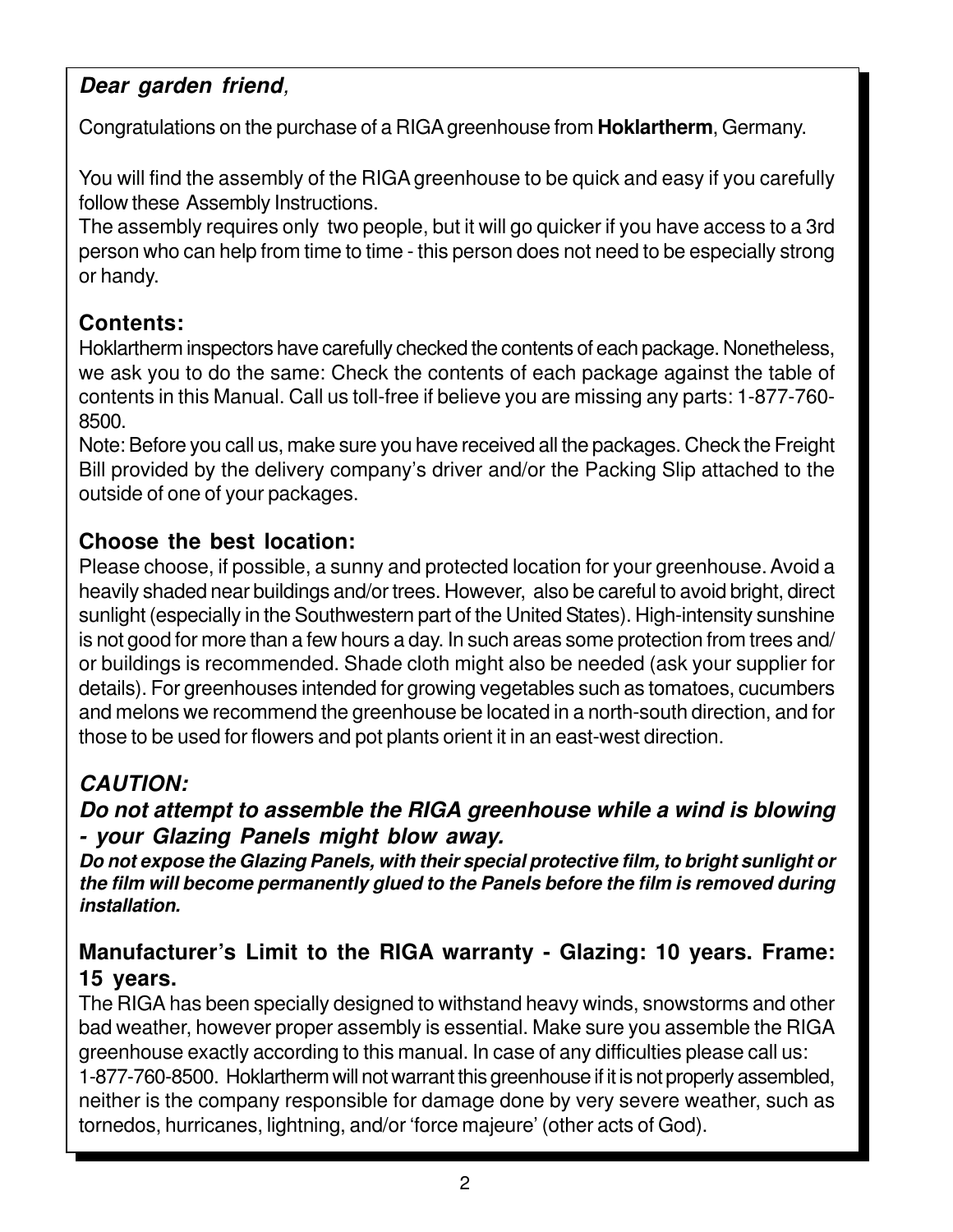# **Dear garden friend**,

Congratulations on the purchase of a RIGA greenhouse from **Hoklartherm**, Germany.

You will find the assembly of the RIGA greenhouse to be quick and easy if you carefully follow these Assembly Instructions.

The assembly requires only two people, but it will go quicker if you have access to a 3rd person who can help from time to time - this person does not need to be especially strong or handy.

# **Contents:**

Hoklartherm inspectors have carefully checked the contents of each package. Nonetheless, we ask you to do the same: Check the contents of each package against the table of contents in this Manual. Call us toll-free if believe you are missing any parts: 1-877-760- 8500.

Note: Before you call us, make sure you have received all the packages. Check the Freight Bill provided by the delivery company's driver and/or the Packing Slip attached to the outside of one of your packages.

# **Choose the best location:**

Please choose, if possible, a sunny and protected location for your greenhouse. Avoid a heavily shaded near buildings and/or trees. However, also be careful to avoid bright, direct sunlight (especially in the Southwestern part of the United States). High-intensity sunshine is not good for more than a few hours a day. In such areas some protection from trees and/ or buildings is recommended. Shade cloth might also be needed (ask your supplier for details). For greenhouses intended for growing vegetables such as tomatoes, cucumbers and melons we recommend the greenhouse be located in a north-south direction, and for those to be used for flowers and pot plants orient it in an east-west direction.

# **CAUTION:**

**Do not attempt to assemble the RIGA greenhouse while a wind is blowing - your Glazing Panels might blow away.**

**Do not expose the Glazing Panels, with their special protective film, to bright sunlight or the film will become permanently glued to the Panels before the film is removed during installation.**

# **Manufacturer's Limit to the RIGA warranty - Glazing: 10 years. Frame: 15 years.**

The RIGA has been specially designed to withstand heavy winds, snowstorms and other bad weather, however proper assembly is essential. Make sure you assemble the RIGA greenhouse exactly according to this manual. In case of any difficulties please call us: 1-877-760-8500. Hoklartherm will not warrant this greenhouse if it is not properly assembled, neither is the company responsible for damage done by very severe weather, such as tornedos, hurricanes, lightning, and/or 'force majeure' (other acts of God).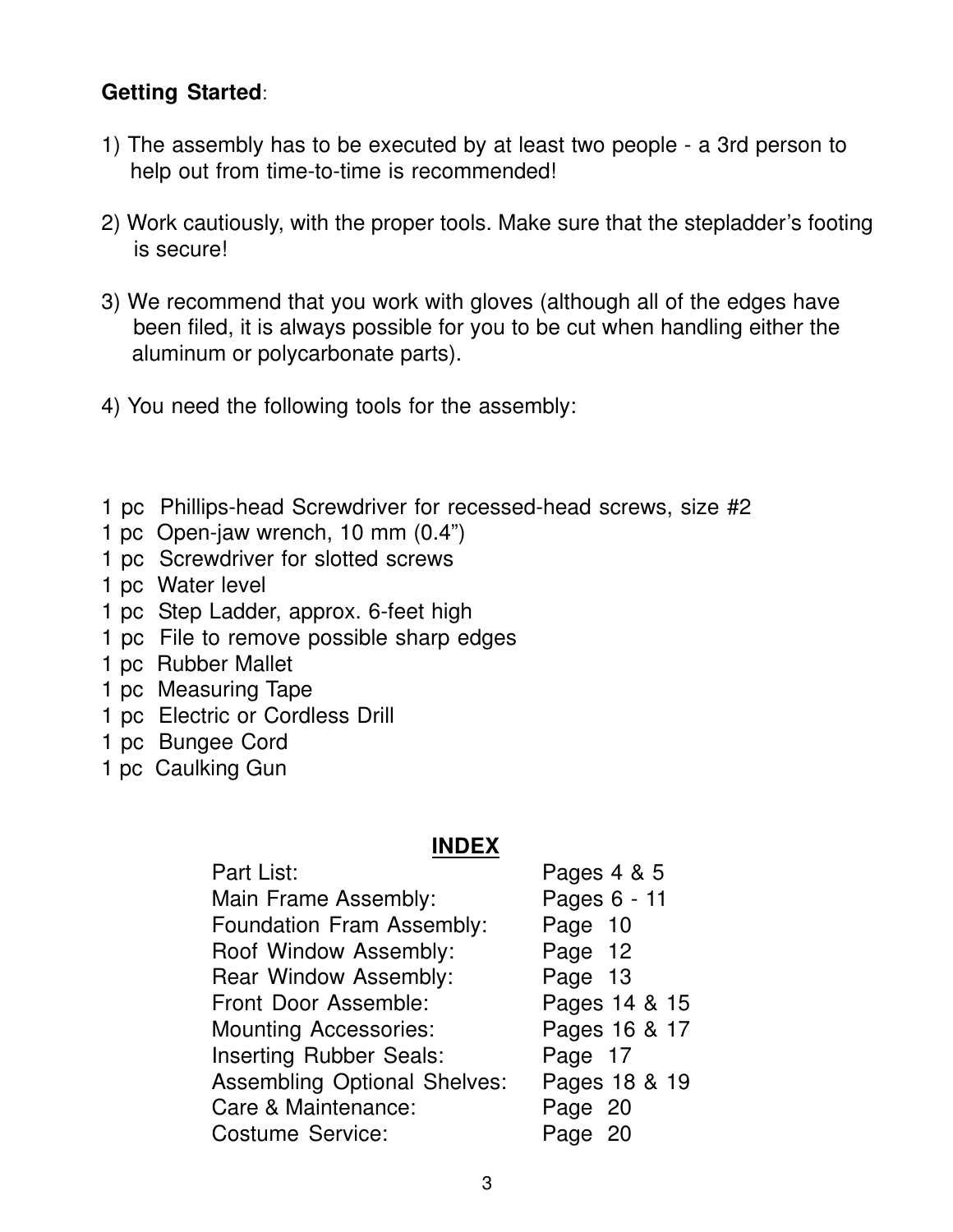### **Getting Started**:

- 1) The assembly has to be executed by at least two people a 3rd person to help out from time-to-time is recommended!
- 2) Work cautiously, with the proper tools. Make sure that the stepladder's footing is secure!
- 3) We recommend that you work with gloves (although all of the edges have been filed, it is always possible for you to be cut when handling either the aluminum or polycarbonate parts).
- 4) You need the following tools for the assembly:
- 1 pc Phillips-head Screwdriver for recessed-head screws, size #2
- 1 pc Open-jaw wrench, 10 mm (0.4")
- 1 pc Screwdriver for slotted screws
- 1 pc Water level
- 1 pc Step Ladder, approx. 6-feet high
- 1 pc File to remove possible sharp edges
- 1 pc Rubber Mallet
- 1 pc Measuring Tape
- 1 pc Electric or Cordless Drill
- 1 pc Bungee Cord
- 1 pc Caulking Gun

#### **INDEX**

| Part List:                          | Pages 4 & 5   |
|-------------------------------------|---------------|
| Main Frame Assembly:                | Pages 6 - 11  |
| <b>Foundation Fram Assembly:</b>    | Page 10       |
| Roof Window Assembly:               | Page 12       |
| <b>Rear Window Assembly:</b>        | Page 13       |
| Front Door Assemble:                | Pages 14 & 15 |
| <b>Mounting Accessories:</b>        | Pages 16 & 17 |
| <b>Inserting Rubber Seals:</b>      | Page 17       |
| <b>Assembling Optional Shelves:</b> | Pages 18 & 19 |
| Care & Maintenance:                 | Page 20       |
| <b>Costume Service:</b>             | Page 20       |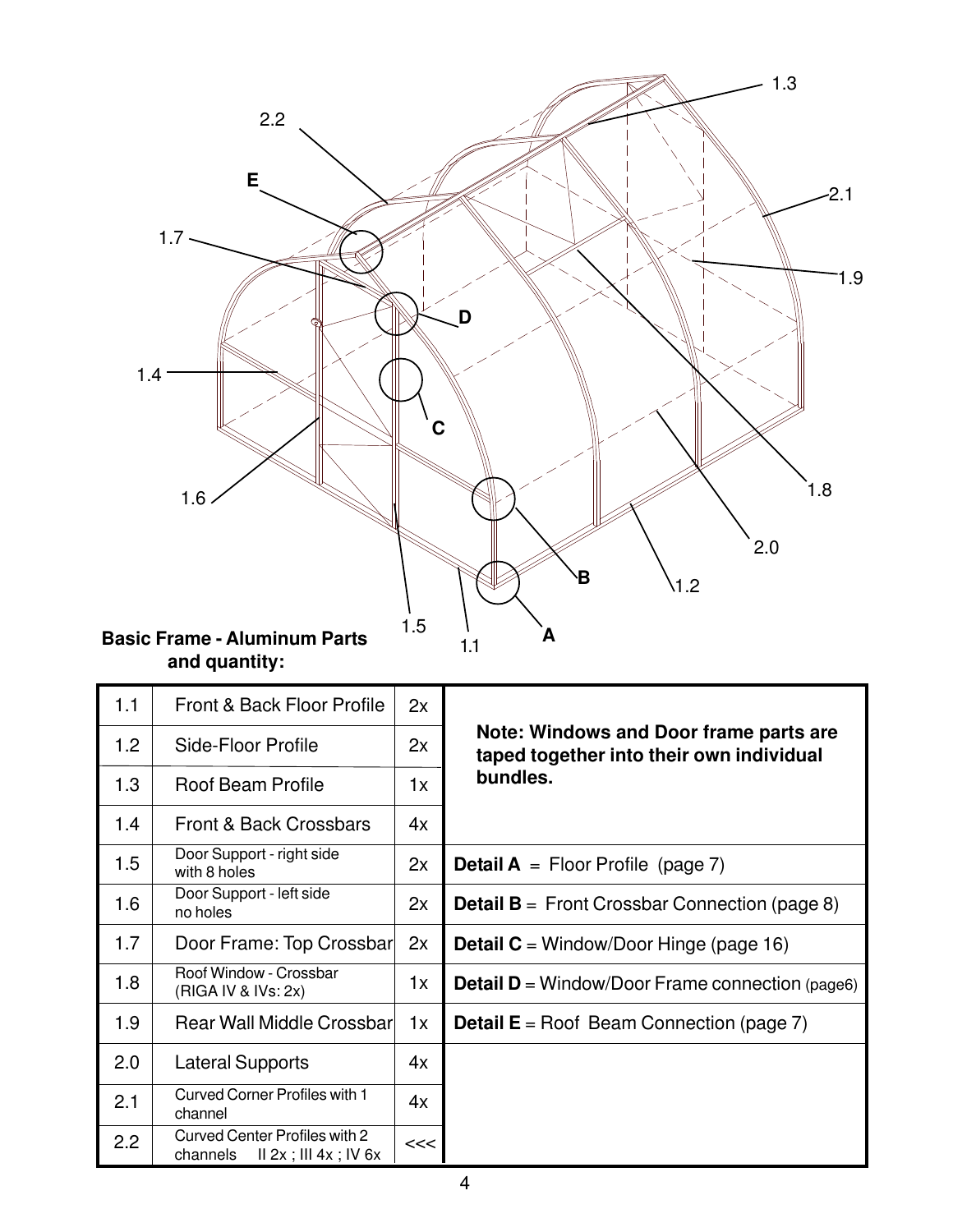

|  | and quantity: |
|--|---------------|
|--|---------------|

| 1.1 | <b>Front &amp; Back Floor Profile</b>                                 | 2x |                                                                                    |  |                                                      |
|-----|-----------------------------------------------------------------------|----|------------------------------------------------------------------------------------|--|------------------------------------------------------|
| 1.2 | Side-Floor Profile                                                    | 2x | Note: Windows and Door frame parts are<br>taped together into their own individual |  |                                                      |
| 1.3 | Roof Beam Profile                                                     | 1x | bundles.                                                                           |  |                                                      |
| 1.4 | Front & Back Crossbars                                                | 4x |                                                                                    |  |                                                      |
| 1.5 | Door Support - right side<br>with 8 holes                             | 2x | <b>Detail A</b> = Floor Profile (page 7)                                           |  |                                                      |
| 1.6 | Door Support - left side<br>no holes                                  |    |                                                                                    |  | <b>Detail B</b> = Front Crossbar Connection (page 8) |
| 1.7 | Door Frame: Top Crossbar                                              | 2x | <b>Detail C</b> = Window/Door Hinge (page 16)                                      |  |                                                      |
| 1.8 | Roof Window - Crossbar<br>(RIGA IV & IVs: 2x)                         | 1x | <b>Detail D</b> = Window/Door Frame connection (page6)                             |  |                                                      |
| 1.9 | Rear Wall Middle Crossbarl                                            | 1x | <b>Detail E</b> = Roof Beam Connection (page $7$ )                                 |  |                                                      |
| 2.0 | <b>Lateral Supports</b>                                               | 4x |                                                                                    |  |                                                      |
| 2.1 | <b>Curved Corner Profiles with 1</b><br>channel                       | 4x |                                                                                    |  |                                                      |
| 2.2 | Curved Center Profiles with 2<br>$II$ 2x ; III 4x ; IV 6x<br>channels | << |                                                                                    |  |                                                      |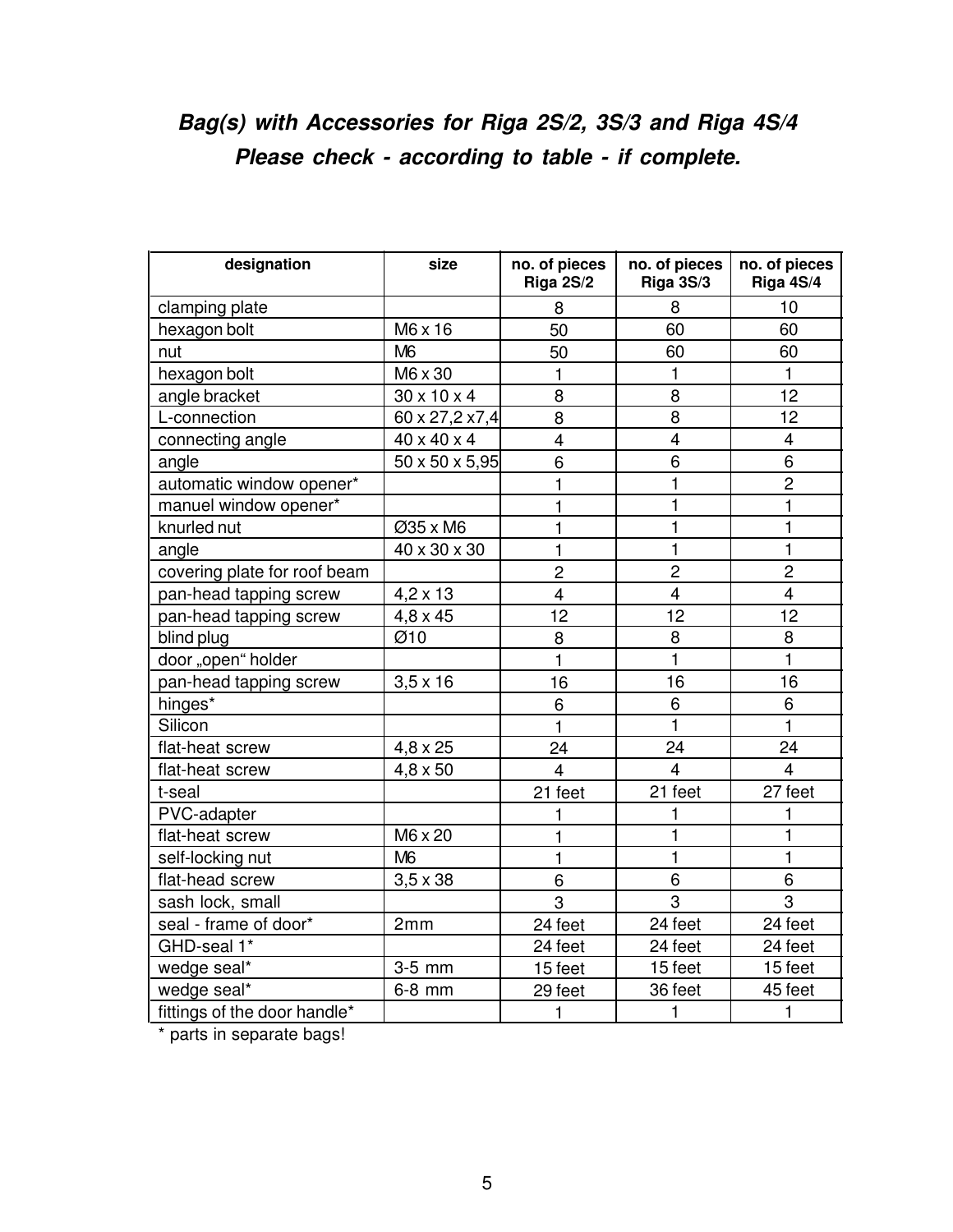# **Bag(s) with Accessories for Riga 2S/2, 3S/3 and Riga 4S/4 Please check - according to table - if complete.**

| designation                  | size                    | no. of pieces<br>Riga 2S/2 | no. of pieces<br>Riga 3S/3 | no. of pieces<br>Riga 4S/4 |
|------------------------------|-------------------------|----------------------------|----------------------------|----------------------------|
| clamping plate               |                         | 8                          | 8                          | 10                         |
| hexagon bolt                 | M6 x 16                 | 50                         | 60                         | 60                         |
| nut                          | M <sub>6</sub>          | 50                         | 60                         | 60                         |
| hexagon bolt                 | M6 x 30                 | 1                          | 1                          | $\mathbf{1}$               |
| angle bracket                | $30 \times 10 \times 4$ | 8                          | 8                          | 12                         |
| L-connection                 | 60 x 27,2 x7,4          | 8                          | 8                          | 12                         |
| connecting angle             | 40 x 40 x 4             | 4                          | 4                          | 4                          |
| angle                        | 50 x 50 x 5,95          | 6                          | 6                          | $\overline{6}$             |
| automatic window opener*     |                         | $\mathbf{1}$               | $\mathbf{1}$               | $\overline{c}$             |
| manuel window opener*        |                         | $\mathbf{1}$               | $\mathbf{1}$               | $\mathbf{1}$               |
| knurled nut                  | Ø35 x M6                | $\mathbf{1}$               | $\mathbf{1}$               | $\mathbf{1}$               |
| angle                        | 40 x 30 x 30            | 1                          | 1                          | $\mathbf{1}$               |
| covering plate for roof beam |                         | $\overline{c}$             | $\overline{2}$             | $\overline{2}$             |
| pan-head tapping screw       | $4,2 \times 13$         | $\overline{4}$             | $\overline{\mathbf{4}}$    | $\overline{4}$             |
| pan-head tapping screw       | $4,8 \times 45$         | 12                         | 12                         | 12                         |
| blind plug                   | Ø10                     | 8                          | 8                          | 8                          |
| door "open" holder           |                         | $\mathbf{1}$               | $\blacksquare$             | $\mathbf{1}$               |
| pan-head tapping screw       | $3,5 \times 16$         | 16                         | 16                         | 16                         |
| hinges*                      |                         | 6                          | 6                          | 6                          |
| Silicon                      |                         | $\mathbf{1}$               | $\mathbf{1}$               | $\mathbf{1}$               |
| flat-heat screw              | 4,8 x 25                | 24                         | 24                         | 24                         |
| flat-heat screw              | $4,8 \times 50$         | $\overline{4}$             | $\overline{4}$             | $\overline{4}$             |
| t-seal                       |                         | 21 feet                    | 21 feet                    | 27 feet                    |
| PVC-adapter                  |                         | 1                          | 1                          | 1                          |
| flat-heat screw              | M6 x 20                 | 1                          | 1                          | 1                          |
| self-locking nut             | M <sub>6</sub>          | $\mathbf{1}$               | $\mathbf{1}$               | $\mathbf{1}$               |
| flat-head screw              | $3,5 \times 38$         | 6                          | 6                          | 6                          |
| sash lock, small             |                         | 3                          | 3                          | 3                          |
| seal - frame of door*        | 2mm                     | 24 feet                    | $\overline{24}$ feet       | 24 feet                    |
| GHD-seal 1*                  |                         | 24 feet                    | 24 feet                    | 24 feet                    |
| wedge seal*                  | 3-5 mm                  | 15 feet                    | 15 feet                    | 15 feet                    |
| wedge seal*                  | 6-8 mm                  | 29 feet                    | 36 feet                    | 45 feet                    |
| fittings of the door handle* |                         | 1                          | $\mathbf{1}$               | 1                          |

\* parts in separate bags!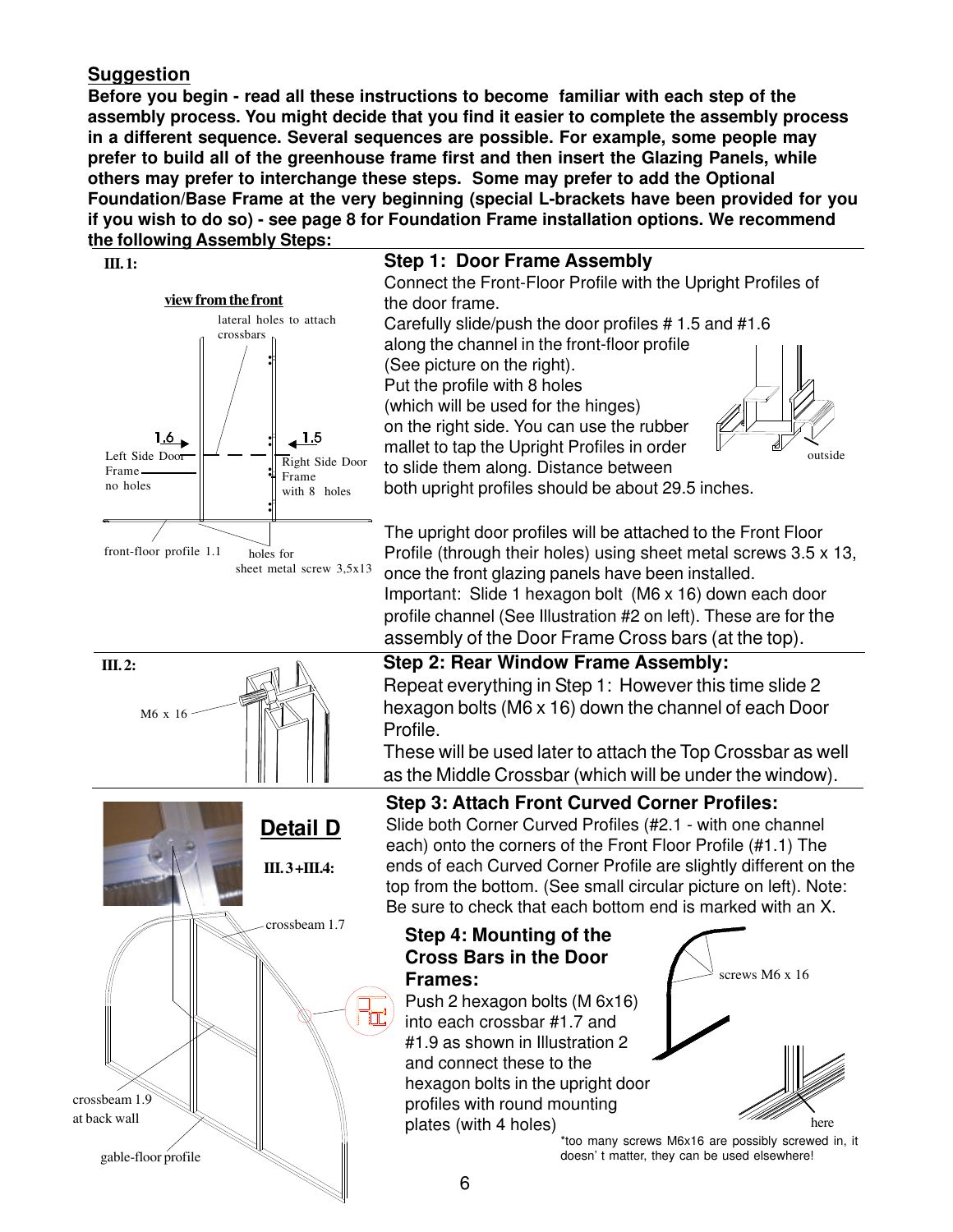#### **Suggestion**

 **III. 2:**

M6 x 16

**Before you begin - read all these instructions to become familiar with each step of the assembly process. You might decide that you find it easier to complete the assembly process in a different sequence. Several sequences are possible. For example, some people may prefer to build all of the greenhouse frame first and then insert the Glazing Panels, while others may prefer to interchange these steps. Some may prefer to add the Optional Foundation/Base Frame at the very beginning (special L-brackets have been provided for you if you wish to do so) - see page 8 for Foundation Frame installation options. We recommend the following Assembly Steps:**



#### **III. 1: Step 1: Door Frame Assembly**

Connect the Front-Floor Profile with the Upright Profiles of the door frame.

Carefully slide/push the door profiles # 1.5 and #1.6 along the channel in the front-floor profile (See picture on the right). Put the profile with 8 holes (which will be used for the hinges)

on the right side. You can use the rubber mallet to tap the Upright Profiles in order to slide them along. Distance between



both upright profiles should be about 29.5 inches.

The upright door profiles will be attached to the Front Floor Profile (through their holes) using sheet metal screws 3.5 x 13, once the front glazing panels have been installed. Important: Slide 1 hexagon bolt (M6 x 16) down each door profile channel (See Illustration #2 on left). These are for the assembly of the Door Frame Cross bars (at the top).

#### **Step 2: Rear Window Frame Assembly:** Repeat everything in Step 1: However this time slide 2 hexagon bolts (M6 x 16) down the channel of each Door

Profile. These will be used later to attach the Top Crossbar as well

as the Middle Crossbar (which will be under the window).

**III. 3 +III.4:** crossbeam 1.7 crossbeam 1.9 at back wall gable-floor profile **Detail D**

**Step 3: Attach Front Curved Corner Profiles:** Slide both Corner Curved Profiles (#2.1 - with one channel each) onto the corners of the Front Floor Profile (#1.1) The ends of each Curved Corner Profile are slightly different on the

top from the bottom. (See small circular picture on left). Note: Be sure to check that each bottom end is marked with an X.

#### **Step 4: Mounting of the Cross Bars in the Door Frames:**

Push 2 hexagon bolts (M 6x16) into each crossbar #1.7 and #1.9 as shown in Illustration 2 and connect these to the hexagon bolts in the upright door profiles with round mounting plates (with 4 holes)



\*too many screws M6x16 are possibly screwed in, it doesn' t matter, they can be used elsewhere!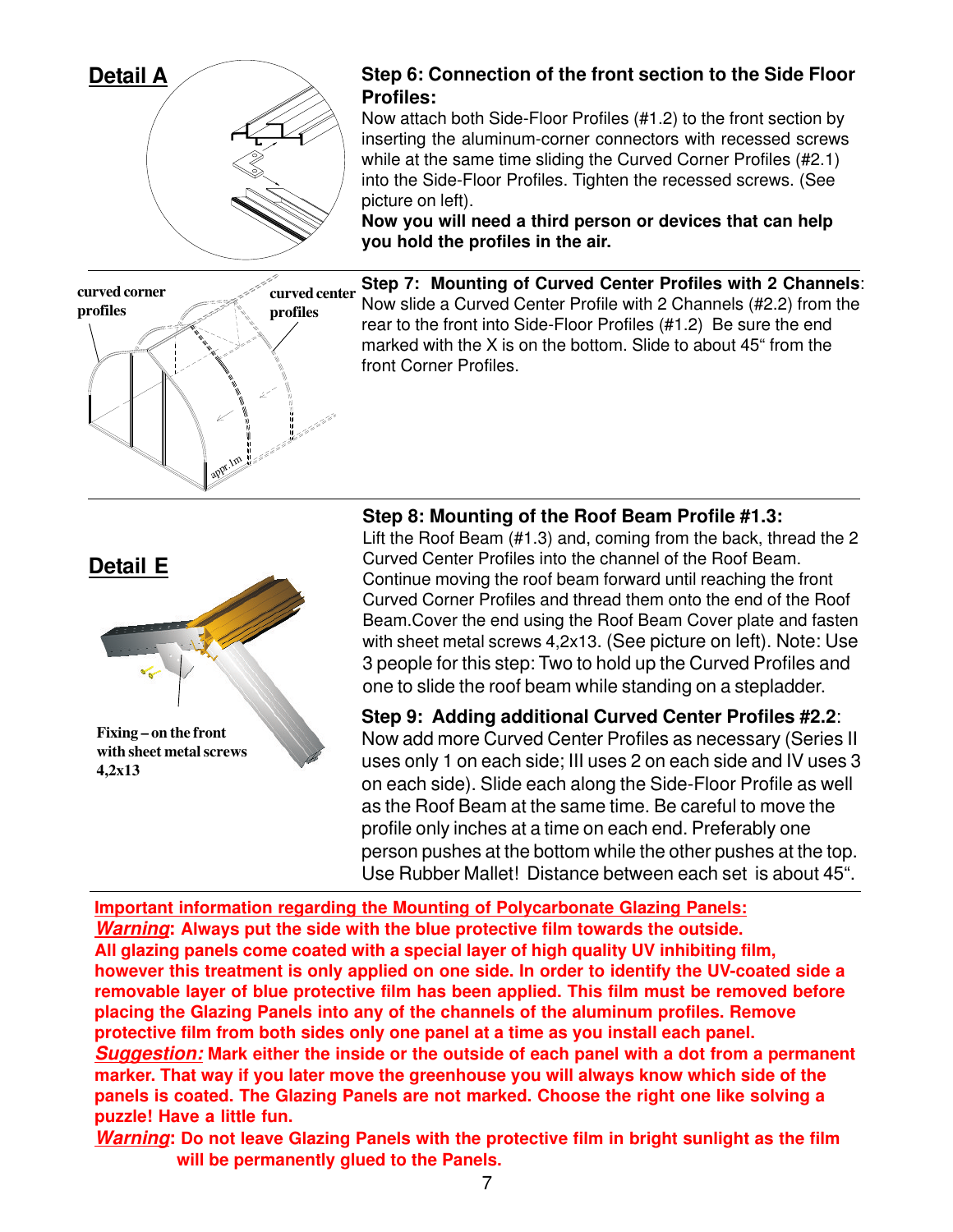

**Step 6: Connection of the front section to the Side Floor Profiles:**

Now attach both Side-Floor Profiles (#1.2) to the front section by inserting the aluminum-corner connectors with recessed screws while at the same time sliding the Curved Corner Profiles (#2.1) into the Side-Floor Profiles. Tighten the recessed screws. (See picture on left).

**Now you will need a third person or devices that can help you hold the profiles in the air.**



**Step 7: Mounting of Curved Center Profiles with 2 Channels**: Now slide a Curved Center Profile with 2 Channels (#2.2) from the rear to the front into Side-Floor Profiles (#1.2) Be sure the end marked with the X is on the bottom. Slide to about 45" from the front Corner Profiles.



#### **Step 8: Mounting of the Roof Beam Profile #1.3:**

Lift the Roof Beam (#1.3) and, coming from the back, thread the 2 Curved Center Profiles into the channel of the Roof Beam. Continue moving the roof beam forward until reaching the front Curved Corner Profiles and thread them onto the end of the Roof Beam.Cover the end using the Roof Beam Cover plate and fasten with sheet metal screws 4,2x13. (See picture on left). Note: Use 3 people for this step: Two to hold up the Curved Profiles and one to slide the roof beam while standing on a stepladder.

**Step 9: Adding additional Curved Center Profiles #2.2**: Now add more Curved Center Profiles as necessary (Series II uses only 1 on each side; III uses 2 on each side and IV uses 3 on each side). Slide each along the Side-Floor Profile as well as the Roof Beam at the same time. Be careful to move the profile only inches at a time on each end. Preferably one person pushes at the bottom while the other pushes at the top. Use Rubber Mallet! Distance between each set is about 45".

**Important information regarding the Mounting of Polycarbonate Glazing Panels: Warning: Always put the side with the blue protective film towards the outside. All glazing panels come coated with a special layer of high quality UV inhibiting film, however this treatment is only applied on one side. In order to identify the UV-coated side a removable layer of blue protective film has been applied. This film must be removed before placing the Glazing Panels into any of the channels of the aluminum profiles. Remove protective film from both sides only one panel at a time as you install each panel. Suggestion: Mark either the inside or the outside of each panel with a dot from a permanent marker. That way if you later move the greenhouse you will always know which side of the panels is coated. The Glazing Panels are not marked. Choose the right one like solving a puzzle! Have a little fun.**

**Warning: Do not leave Glazing Panels with the protective film in bright sunlight as the film will be permanently glued to the Panels.**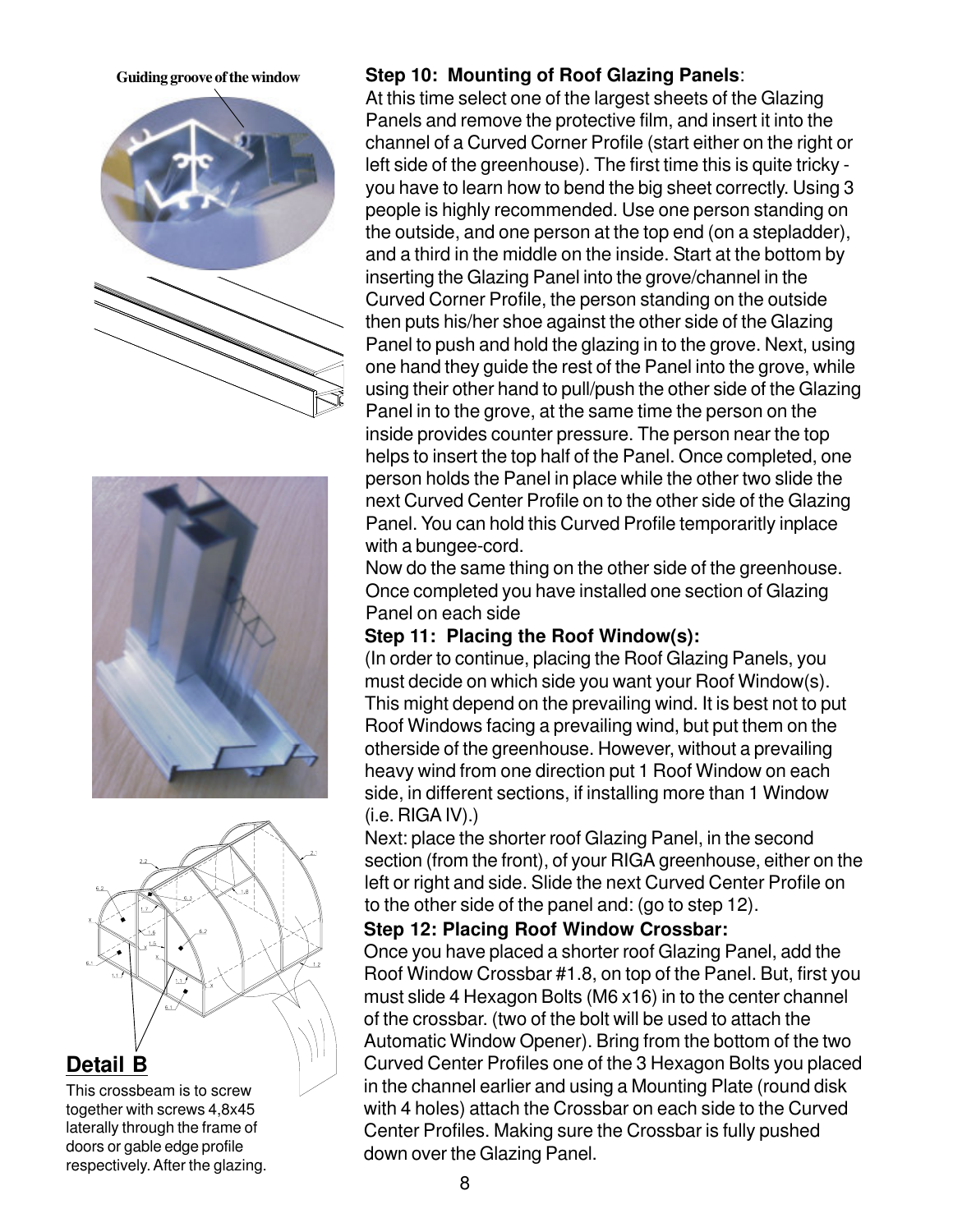





#### **Detail B**

This crossbeam is to screw together with screws 4,8x45 laterally through the frame of doors or gable edge profile respectively. After the glazing.

#### **Guiding groove of the window Step 10: Mounting of Roof Glazing Panels**:

At this time select one of the largest sheets of the Glazing Panels and remove the protective film, and insert it into the channel of a Curved Corner Profile (start either on the right or left side of the greenhouse). The first time this is quite tricky you have to learn how to bend the big sheet correctly. Using 3 people is highly recommended. Use one person standing on the outside, and one person at the top end (on a stepladder), and a third in the middle on the inside. Start at the bottom by inserting the Glazing Panel into the grove/channel in the Curved Corner Profile, the person standing on the outside then puts his/her shoe against the other side of the Glazing Panel to push and hold the glazing in to the grove. Next, using one hand they guide the rest of the Panel into the grove, while using their other hand to pull/push the other side of the Glazing Panel in to the grove, at the same time the person on the inside provides counter pressure. The person near the top helps to insert the top half of the Panel. Once completed, one person holds the Panel in place while the other two slide the next Curved Center Profile on to the other side of the Glazing Panel. You can hold this Curved Profile temporaritly inplace with a bungee-cord.

Now do the same thing on the other side of the greenhouse. Once completed you have installed one section of Glazing Panel on each side

#### **Step 11: Placing the Roof Window(s):**

(In order to continue, placing the Roof Glazing Panels, you must decide on which side you want your Roof Window(s). This might depend on the prevailing wind. It is best not to put Roof Windows facing a prevailing wind, but put them on the otherside of the greenhouse. However, without a prevailing heavy wind from one direction put 1 Roof Window on each side, in different sections, if installing more than 1 Window  $(i.e.$  RIGA  $IV)$ . $)$ 

Next: place the shorter roof Glazing Panel, in the second section (from the front), of your RIGA greenhouse, either on the left or right and side. Slide the next Curved Center Profile on to the other side of the panel and: (go to step 12).

#### **Step 12: Placing Roof Window Crossbar:**

Once you have placed a shorter roof Glazing Panel, add the Roof Window Crossbar #1.8, on top of the Panel. But, first you must slide 4 Hexagon Bolts (M6 x16) in to the center channel of the crossbar. (two of the bolt will be used to attach the Automatic Window Opener). Bring from the bottom of the two Curved Center Profiles one of the 3 Hexagon Bolts you placed in the channel earlier and using a Mounting Plate (round disk with 4 holes) attach the Crossbar on each side to the Curved Center Profiles. Making sure the Crossbar is fully pushed down over the Glazing Panel.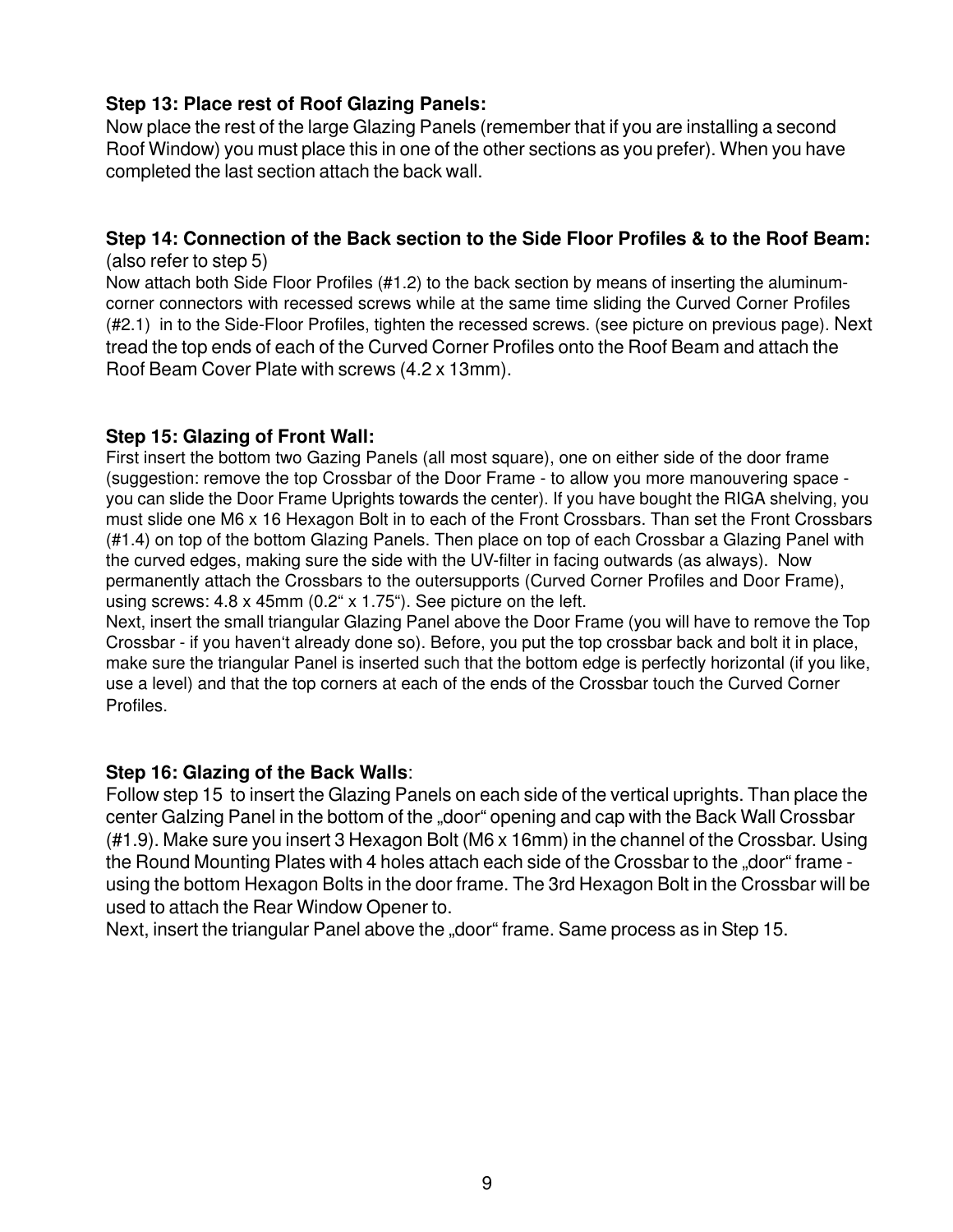#### **Step 13: Place rest of Roof Glazing Panels:**

Now place the rest of the large Glazing Panels (remember that if you are installing a second Roof Window) you must place this in one of the other sections as you prefer). When you have completed the last section attach the back wall.

#### **Step 14: Connection of the Back section to the Side Floor Profiles & to the Roof Beam:** (also refer to step 5)

Now attach both Side Floor Profiles (#1.2) to the back section by means of inserting the aluminumcorner connectors with recessed screws while at the same time sliding the Curved Corner Profiles (#2.1) in to the Side-Floor Profiles, tighten the recessed screws. (see picture on previous page). Next tread the top ends of each of the Curved Corner Profiles onto the Roof Beam and attach the Roof Beam Cover Plate with screws (4.2 x 13mm).

#### **Step 15: Glazing of Front Wall:**

First insert the bottom two Gazing Panels (all most square), one on either side of the door frame (suggestion: remove the top Crossbar of the Door Frame - to allow you more manouvering space you can slide the Door Frame Uprights towards the center). If you have bought the RIGA shelving, you must slide one M6 x 16 Hexagon Bolt in to each of the Front Crossbars. Than set the Front Crossbars (#1.4) on top of the bottom Glazing Panels. Then place on top of each Crossbar a Glazing Panel with the curved edges, making sure the side with the UV-filter in facing outwards (as always). Now permanently attach the Crossbars to the outersupports (Curved Corner Profiles and Door Frame), using screws: 4.8 x 45mm (0.2" x 1.75"). See picture on the left.

Next, insert the small triangular Glazing Panel above the Door Frame (you will have to remove the Top Crossbar - if you haven't already done so). Before, you put the top crossbar back and bolt it in place, make sure the triangular Panel is inserted such that the bottom edge is perfectly horizontal (if you like, use a level) and that the top corners at each of the ends of the Crossbar touch the Curved Corner Profiles.

#### **Step 16: Glazing of the Back Walls**:

Follow step 15 to insert the Glazing Panels on each side of the vertical uprights. Than place the center Galzing Panel in the bottom of the "door" opening and cap with the Back Wall Crossbar (#1.9). Make sure you insert 3 Hexagon Bolt (M6 x 16mm) in the channel of the Crossbar. Using the Round Mounting Plates with 4 holes attach each side of the Crossbar to the "door" frame using the bottom Hexagon Bolts in the door frame. The 3rd Hexagon Bolt in the Crossbar will be used to attach the Rear Window Opener to.

Next, insert the triangular Panel above the "door" frame. Same process as in Step 15.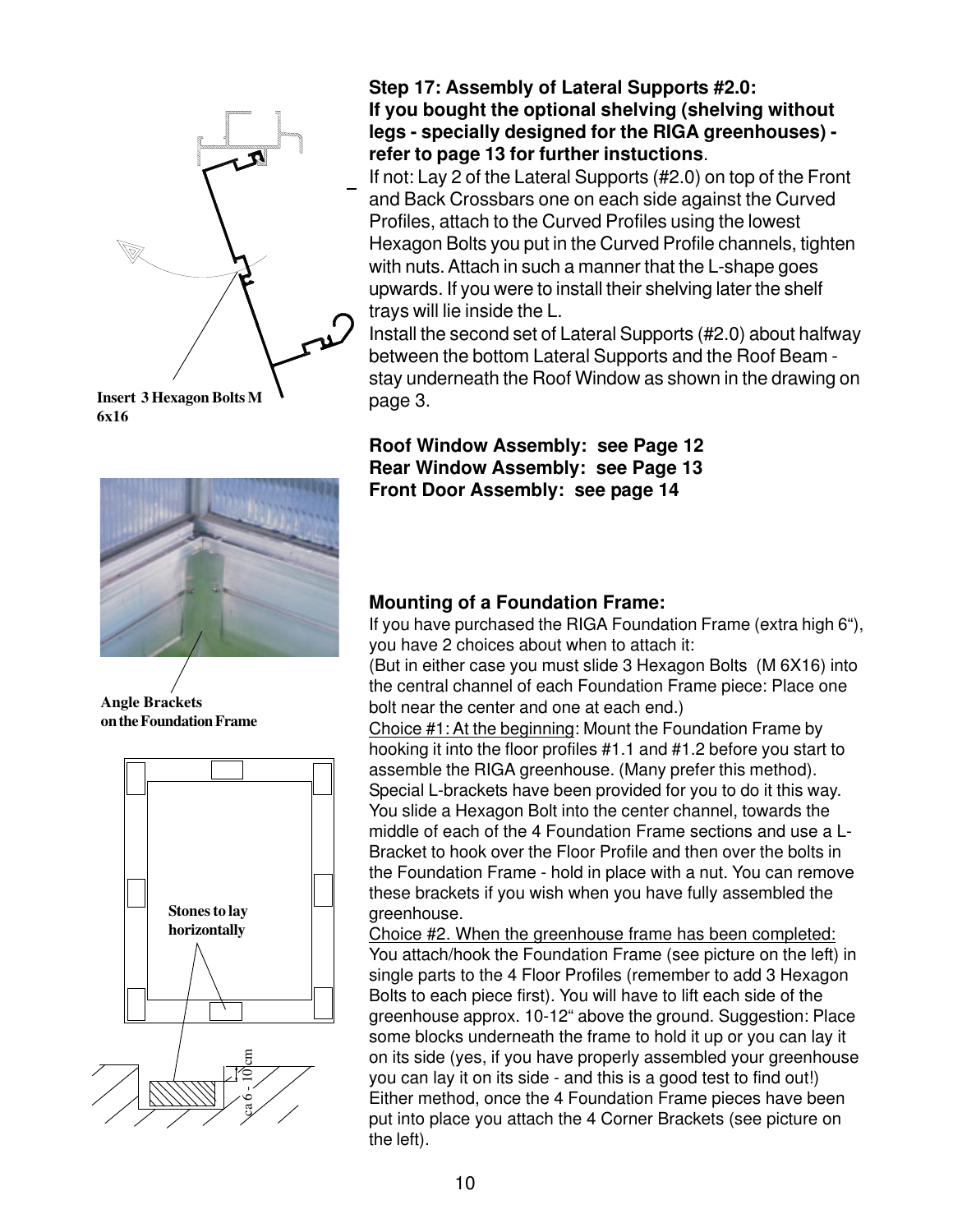

**Insert 3 Hexagon Bolts M 6x16**



**Angle Brackets on the Foundation Frame**



**Step 17: Assembly of Lateral Supports #2.0: If you bought the optional shelving (shelving without legs - specially designed for the RIGA greenhouses) refer to page 13 for further instuctions**.

If not: Lay 2 of the Lateral Supports (#2.0) on top of the Front and Back Crossbars one on each side against the Curved Profiles, attach to the Curved Profiles using the lowest Hexagon Bolts you put in the Curved Profile channels, tighten with nuts. Attach in such a manner that the L-shape goes upwards. If you were to install their shelving later the shelf trays will lie inside the L.

Install the second set of Lateral Supports (#2.0) about halfway between the bottom Lateral Supports and the Roof Beam stay underneath the Roof Window as shown in the drawing on page 3.

**Roof Window Assembly: see Page 12 Rear Window Assembly: see Page 13 Front Door Assembly: see page 14**

#### **Mounting of a Foundation Frame:**

If you have purchased the RIGA Foundation Frame (extra high 6"), you have 2 choices about when to attach it:

(But in either case you must slide 3 Hexagon Bolts (M 6X16) into the central channel of each Foundation Frame piece: Place one bolt near the center and one at each end.)

Choice #1: At the beginning: Mount the Foundation Frame by hooking it into the floor profiles #1.1 and #1.2 before you start to assemble the RIGA greenhouse. (Many prefer this method). Special L-brackets have been provided for you to do it this way. You slide a Hexagon Bolt into the center channel, towards the middle of each of the 4 Foundation Frame sections and use a L-Bracket to hook over the Floor Profile and then over the bolts in the Foundation Frame - hold in place with a nut. You can remove these brackets if you wish when you have fully assembled the greenhouse.

Choice #2. When the greenhouse frame has been completed: You attach/hook the Foundation Frame (see picture on the left) in single parts to the 4 Floor Profiles (remember to add 3 Hexagon Bolts to each piece first). You will have to lift each side of the greenhouse approx. 10-12" above the ground. Suggestion: Place some blocks underneath the frame to hold it up or you can lay it on its side (yes, if you have properly assembled your greenhouse you can lay it on its side - and this is a good test to find out!) Either method, once the 4 Foundation Frame pieces have been put into place you attach the 4 Corner Brackets (see picture on the left).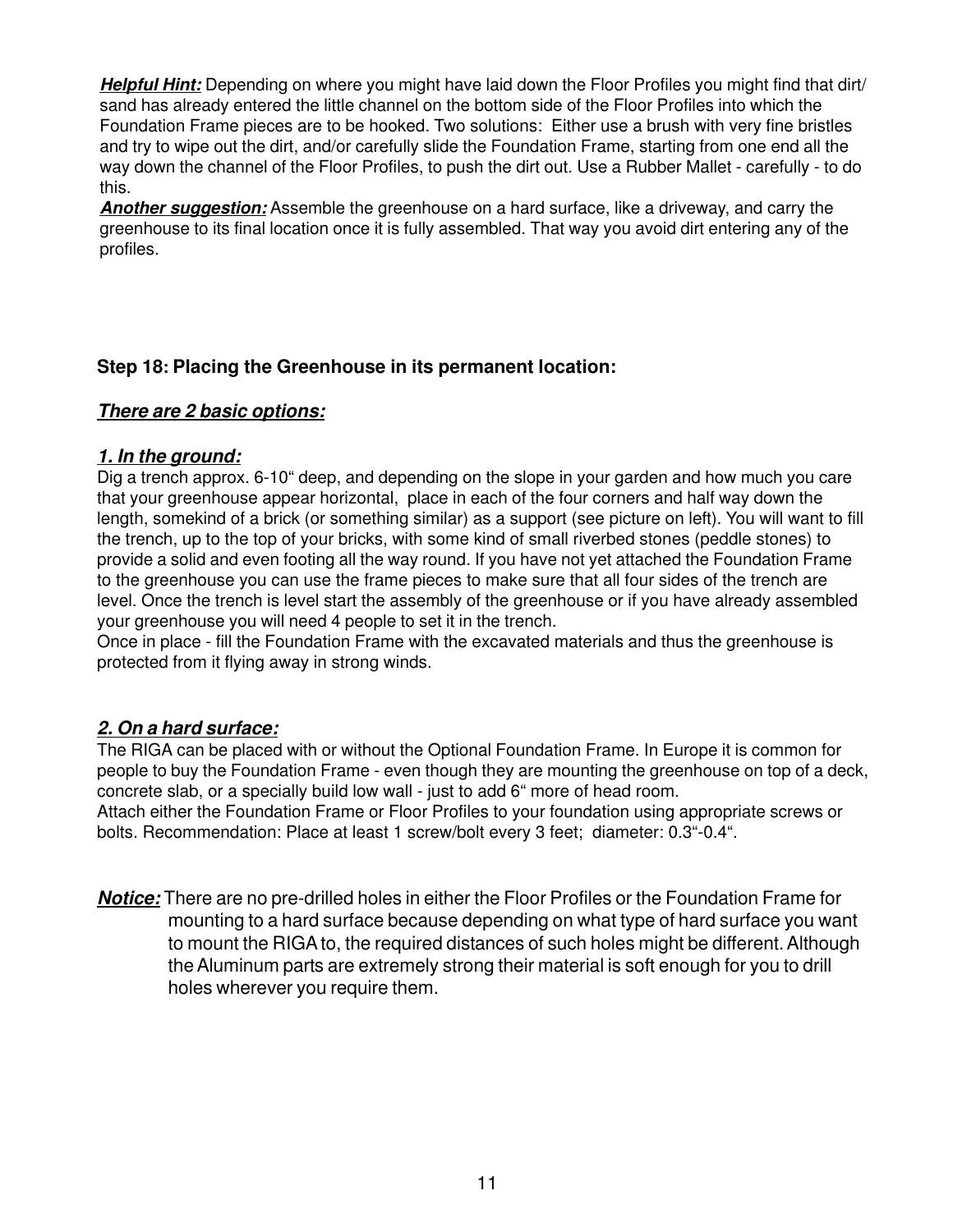**Helpful Hint:** Depending on where you might have laid down the Floor Profiles you might find that dirt/ sand has already entered the little channel on the bottom side of the Floor Profiles into which the Foundation Frame pieces are to be hooked. Two solutions: Either use a brush with very fine bristles and try to wipe out the dirt, and/or carefully slide the Foundation Frame, starting from one end all the way down the channel of the Floor Profiles, to push the dirt out. Use a Rubber Mallet - carefully - to do this.

**Another suggestion:** Assemble the greenhouse on a hard surface, like a driveway, and carry the greenhouse to its final location once it is fully assembled. That way you avoid dirt entering any of the profiles.

#### **Step 18: Placing the Greenhouse in its permanent location:**

#### **There are 2 basic options:**

#### **1. In the ground:**

Dig a trench approx. 6-10" deep, and depending on the slope in your garden and how much you care that your greenhouse appear horizontal, place in each of the four corners and half way down the length, somekind of a brick (or something similar) as a support (see picture on left). You will want to fill the trench, up to the top of your bricks, with some kind of small riverbed stones (peddle stones) to provide a solid and even footing all the way round. If you have not yet attached the Foundation Frame to the greenhouse you can use the frame pieces to make sure that all four sides of the trench are level. Once the trench is level start the assembly of the greenhouse or if you have already assembled your greenhouse you will need 4 people to set it in the trench.

Once in place - fill the Foundation Frame with the excavated materials and thus the greenhouse is protected from it flying away in strong winds.

#### **2. On a hard surface:**

The RIGA can be placed with or without the Optional Foundation Frame. In Europe it is common for people to buy the Foundation Frame - even though they are mounting the greenhouse on top of a deck, concrete slab, or a specially build low wall - just to add 6" more of head room.

Attach either the Foundation Frame or Floor Profiles to your foundation using appropriate screws or bolts. Recommendation: Place at least 1 screw/bolt every 3 feet; diameter: 0.3"-0.4".

**Notice:** There are no pre-drilled holes in either the Floor Profiles or the Foundation Frame for mounting to a hard surface because depending on what type of hard surface you want to mount the RIGA to, the required distances of such holes might be different. Although the Aluminum parts are extremely strong their material is soft enough for you to drill holes wherever you require them.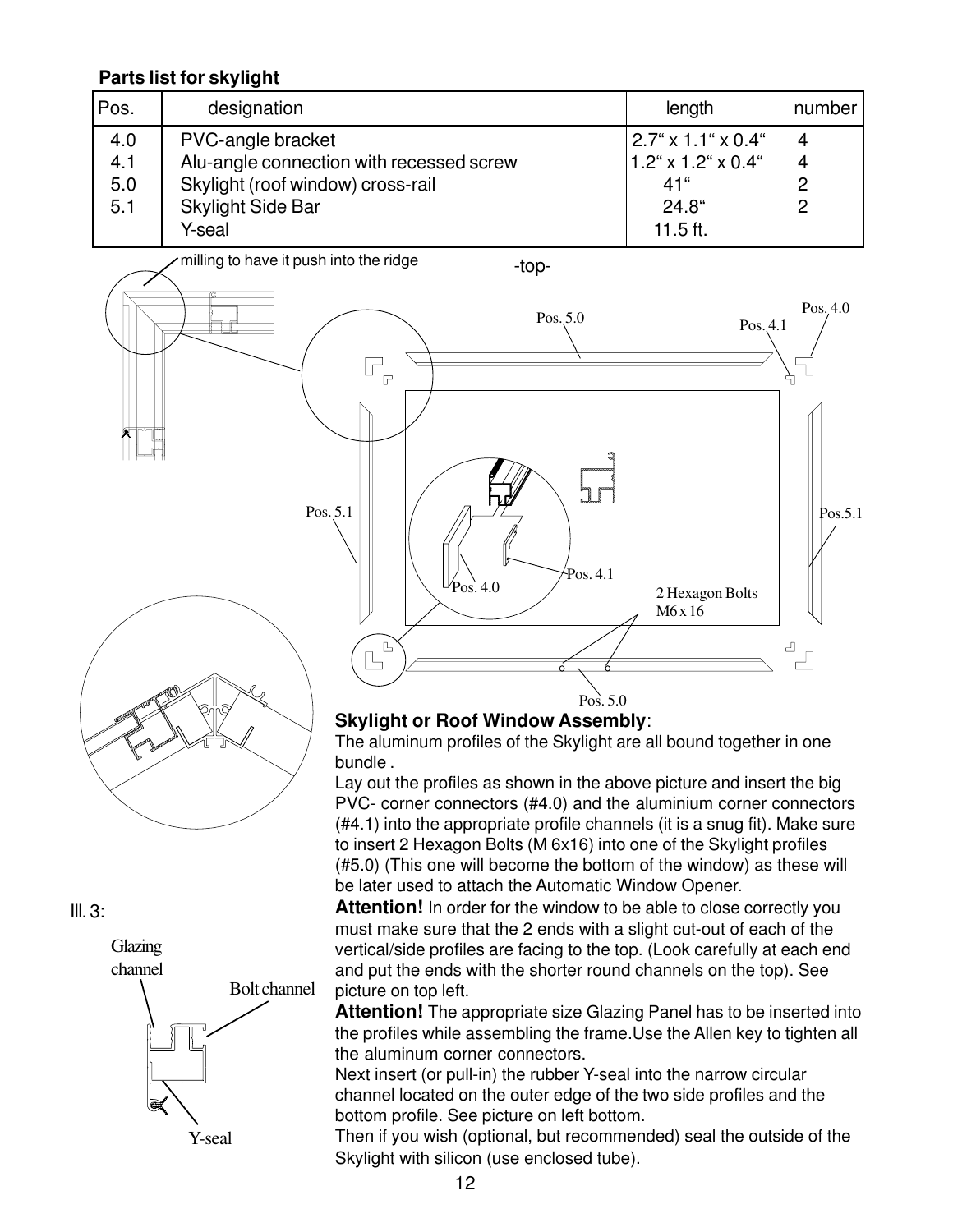#### **Parts list for skylight**

| Pos. | designation                              | length                          | number |
|------|------------------------------------------|---------------------------------|--------|
| 4.0  | PVC-angle bracket                        | $ 2.7" \times 1.1" \times 0.4"$ | 4      |
| 4.1  | Alu-angle connection with recessed screw | $1.2$ " x 1.2" x 0.4"           | 4      |
| 5.0  | Skylight (roof window) cross-rail        | 41"                             | ႒      |
| 5.1  | Skylight Side Bar                        | $24.8^\circ$                    | ာ      |
|      | Y-seal                                   | 11.5 ft.                        |        |





 $III. 3:$ 



Y-seal

#### **Skylight or Roof Window Assembly**:

The aluminum profiles of the Skylight are all bound together in one bundle .

Lay out the profiles as shown in the above picture and insert the big PVC- corner connectors (#4.0) and the aluminium corner connectors (#4.1) into the appropriate profile channels (it is a snug fit). Make sure to insert 2 Hexagon Bolts (M 6x16) into one of the Skylight profiles (#5.0) (This one will become the bottom of the window) as these will be later used to attach the Automatic Window Opener.

**Attention!** In order for the window to be able to close correctly you must make sure that the 2 ends with a slight cut-out of each of the vertical/side profiles are facing to the top. (Look carefully at each end and put the ends with the shorter round channels on the top). See picture on top left.

**Attention!** The appropriate size Glazing Panel has to be inserted into the profiles while assembling the frame.Use the Allen key to tighten all the aluminum corner connectors.

Next insert (or pull-in) the rubber Y-seal into the narrow circular channel located on the outer edge of the two side profiles and the bottom profile. See picture on left bottom.

Then if you wish (optional, but recommended) seal the outside of the Skylight with silicon (use enclosed tube).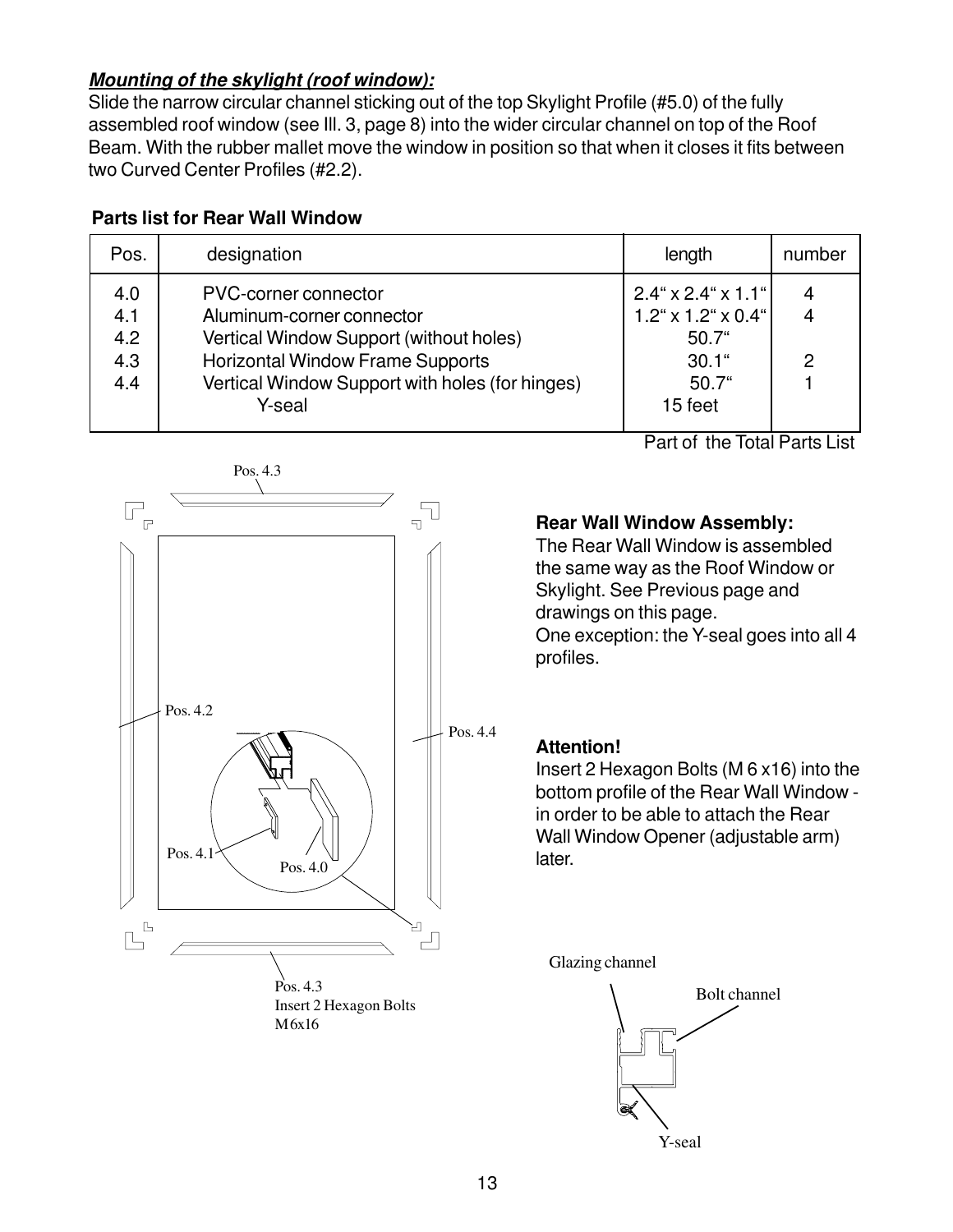#### **Mounting of the skylight (roof window):**

Slide the narrow circular channel sticking out of the top Skylight Profile (#5.0) of the fully assembled roof window (see Ill. 3, page 8) into the wider circular channel on top of the Roof Beam. With the rubber mallet move the window in position so that when it closes it fits between two Curved Center Profiles (#2.2).

#### **Parts list for Rear Wall Window**

| Pos.                            | designation                                                                                                                                                                                | length                                                                                   | number      |
|---------------------------------|--------------------------------------------------------------------------------------------------------------------------------------------------------------------------------------------|------------------------------------------------------------------------------------------|-------------|
| 4.0<br>4.1<br>4.2<br>4.3<br>4.4 | PVC-corner connector<br>Aluminum-corner connector<br>Vertical Window Support (without holes)<br><b>Horizontal Window Frame Supports</b><br>Vertical Window Support with holes (for hinges) | $2.4$ " x 2.4" x 1.1"<br>$1.2^{\circ}$ x 1.2" x 0.4"<br>$50.7$ "<br>$30.1$ "<br>$50.7$ " | 4<br>4<br>2 |
|                                 | Y-seal                                                                                                                                                                                     | 15 feet                                                                                  |             |



Part of the Total Parts List

#### **Rear Wall Window Assembly:**

The Rear Wall Window is assembled the same way as the Roof Window or Skylight. See Previous page and drawings on this page. One exception: the Y-seal goes into all 4 profiles.

#### **Attention!**

Insert 2 Hexagon Bolts (M 6 x16) into the bottom profile of the Rear Wall Window in order to be able to attach the Rear Wall Window Opener (adjustable arm) later.

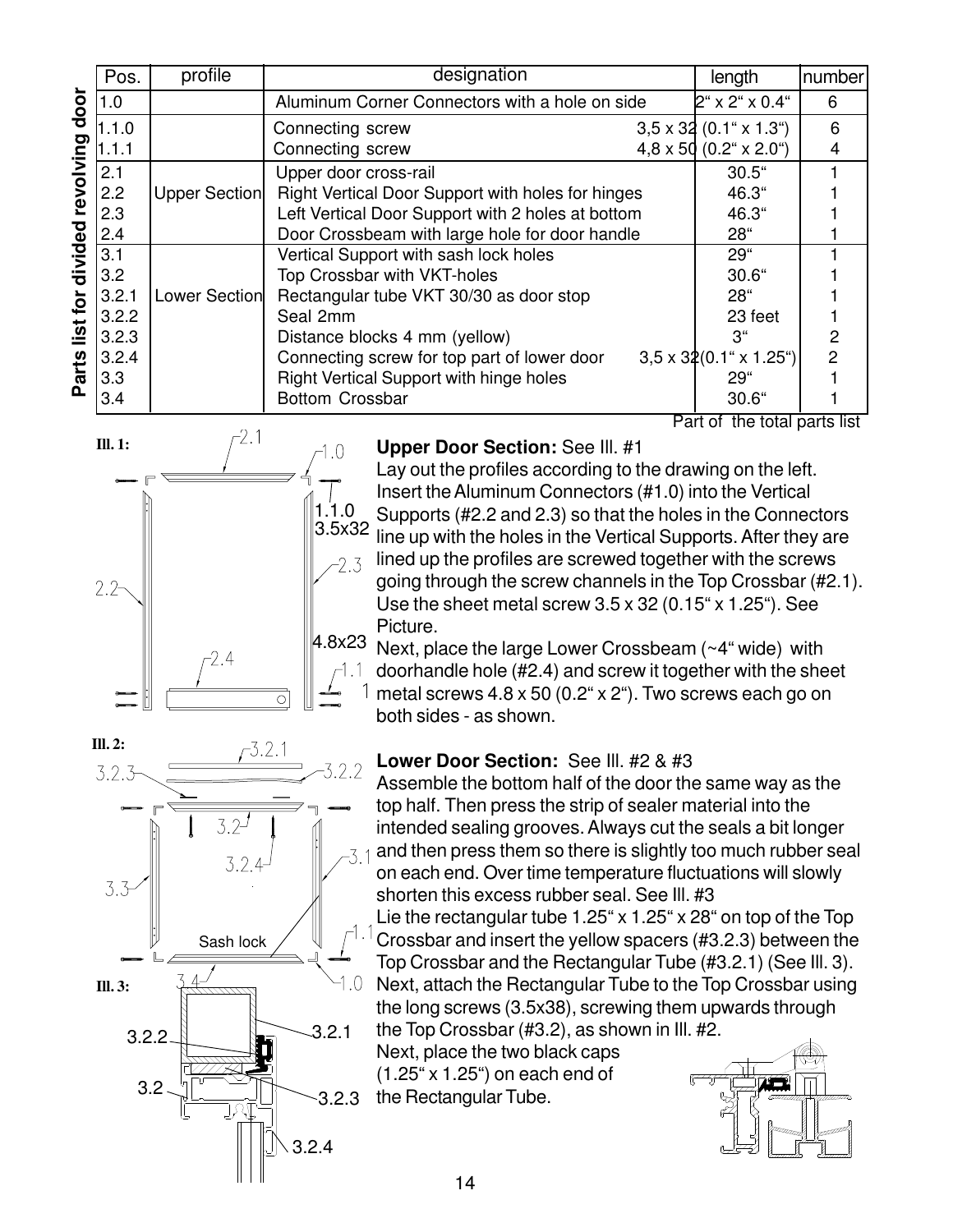|              | Pos.  | profile       | designation                                       | length                               | number |
|--------------|-------|---------------|---------------------------------------------------|--------------------------------------|--------|
| door         | 1.0   |               | Aluminum Corner Connectors with a hole on side    | $2^{\circ}$ x 2" x 0.4"              | 6      |
|              | 1.1.0 |               | Connecting screw                                  | $3,5 \times 32$ (0.1" x 1.3")        | 6      |
|              | 1.1.1 |               | Connecting screw                                  | $4.8 \times 50$ (0.2" $\times$ 2.0") | 4      |
| revolving    | 2.1   |               | Upper door cross-rail                             | $30.5$ "                             |        |
|              | 2.2   | Upper Section | Right Vertical Door Support with holes for hinges | 46.3"                                |        |
|              | 2.3   |               | Left Vertical Door Support with 2 holes at bottom | 46.3"                                |        |
|              | 2.4   |               | Door Crossbeam with large hole for door handle    | 28"                                  |        |
| divided      | 3.1   |               | Vertical Support with sash lock holes             | 29"                                  |        |
|              | 3.2   |               | Top Crossbar with VKT-holes                       | $30.6$ "                             |        |
|              | 3.2.1 | Lower Section | Rectangular tube VKT 30/30 as door stop           | 28"                                  |        |
| list for     | 3.2.2 |               | Seal 2mm                                          | 23 feet                              |        |
|              | 3.2.3 |               | Distance blocks 4 mm (yellow)                     | 3"                                   | 2      |
|              | 3.2.4 |               | Connecting screw for top part of lower door       | $3,5 \times 32(0.1$ " x 1.25")       | 2      |
| <b>Parts</b> | 3.3   |               | Right Vertical Support with hinge holes           | 29"                                  |        |
|              | 3.4   |               | <b>Bottom Crossbar</b>                            | 30.6"                                |        |

Part of the total parts list



Sash lock

 $3.2 -$ 

3.2.4

 $-3.2.1$ 

 $3.2 \frac{11}{2}$   $3.2.3$ 

3.2.4

3.2.1

 $1.0$ 

 $2.2$ 

Lay out the profiles according to the drawing on the left. Insert the Aluminum Connectors (#1.0) into the Vertical Supports (#2.2 and 2.3) so that the holes in the Connectors line up with the holes in the Vertical Supports. After they are lined up the profiles are screwed together with the screws going through the screw channels in the Top Crossbar (#2.1). Use the sheet metal screw 3.5 x 32 (0.15" x 1.25"). See Picture.

Next, place the large Lower Crossbeam (~4" wide) with doorhandle hole (#2.4) and screw it together with the sheet metal screws 4.8 x 50 (0.2" x 2"). Two screws each go on both sides - as shown.

#### **Lower Door Section:** See Ill. #2 & #3

Assemble the bottom half of the door the same way as the top half. Then press the strip of sealer material into the intended sealing grooves. Always cut the seals a bit longer and then press them so there is slightly too much rubber seal  $-31$ on each end. Over time temperature fluctuations will slowly shorten this excess rubber seal. See Ill. #3

Lie the rectangular tube 1.25" x 1.25" x 28" on top of the Top -1.1 Crossbar and insert the yellow spacers (#3.2.3) between the Top Crossbar and the Rectangular Tube (#3.2.1) (See Ill. 3). Next, attach the Rectangular Tube to the Top Crossbar using the long screws (3.5x38), screwing them upwards through the Top Crossbar (#3.2), as shown in Ill. #2.

Next, place the two black caps (1.25" x 1.25") on each end of the Rectangular Tube.



**Ill. 2:**

 $3.2.3$ 

**Ill. 3:**

3.3

3.2.2

14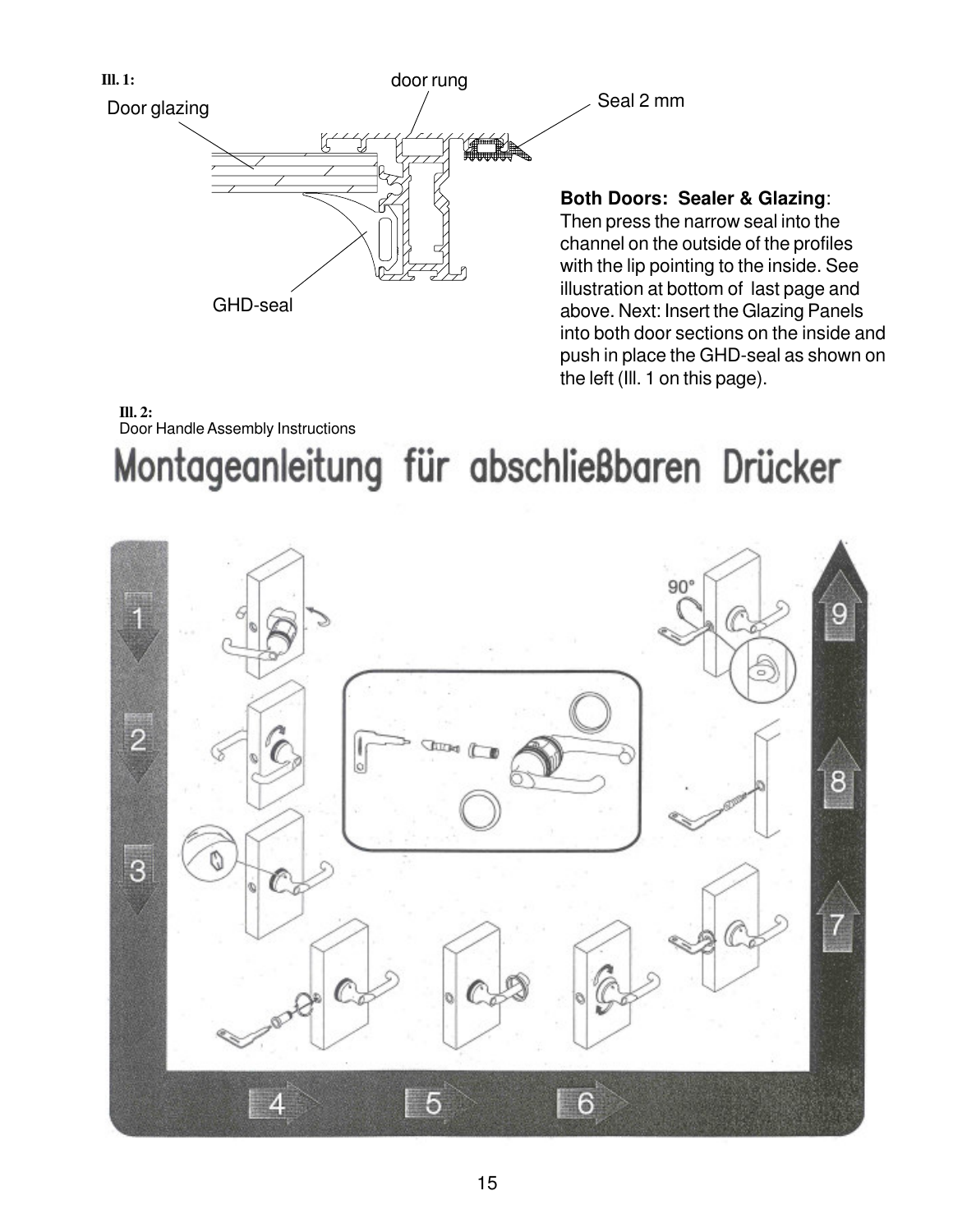

# Montageanleitung für abschließbaren Drücker Door Handle Assembly Instructions **Ill. 2:**

push in place the GHD-seal as shown on

the left (Ill. 1 on this page).

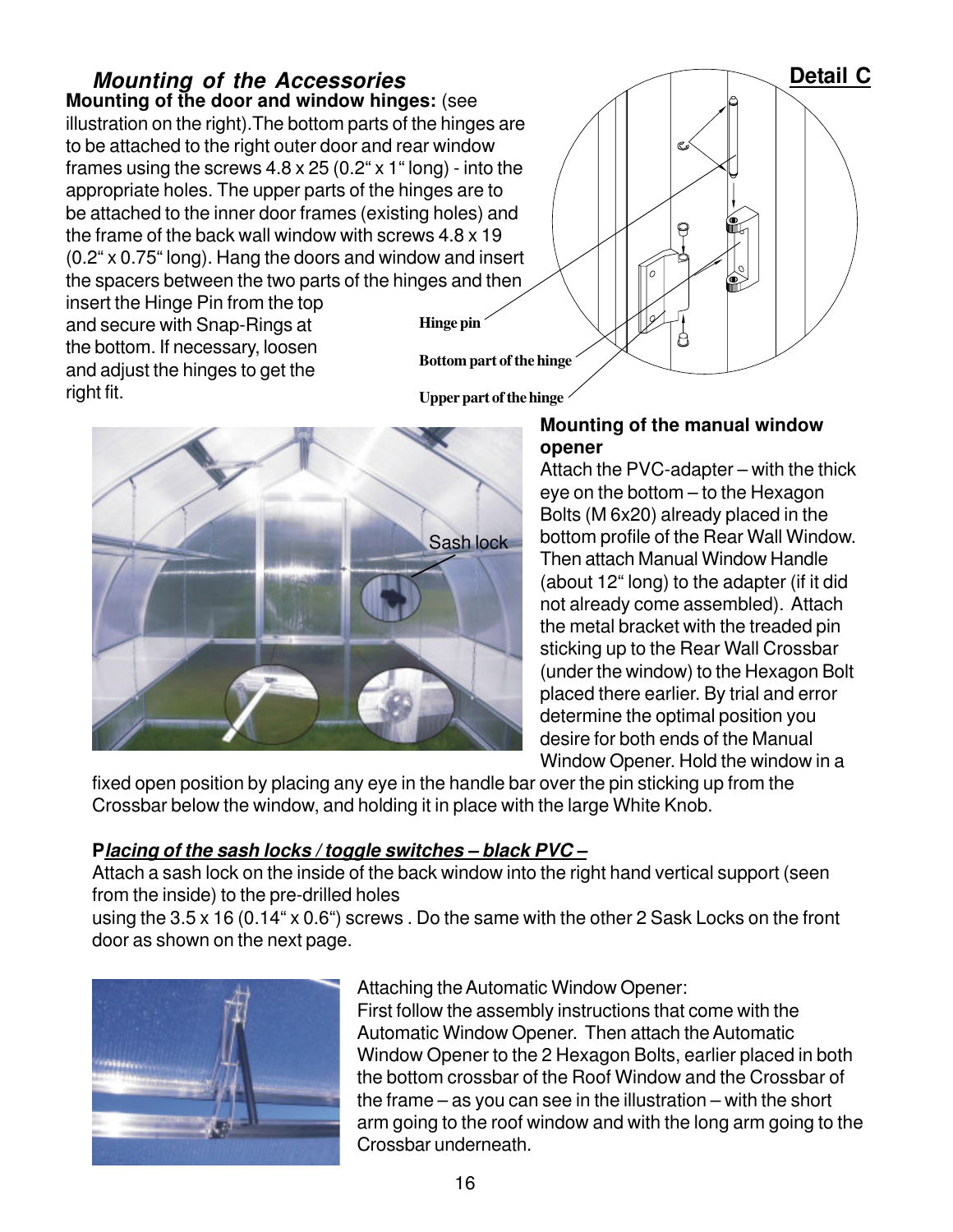**Mounting of the door and window hinges:** (see illustration on the right).The bottom parts of the hinges are to be attached to the right outer door and rear window frames using the screws 4.8 x 25 (0.2" x 1" long) - into the appropriate holes. The upper parts of the hinges are to be attached to the inner door frames (existing holes) and the frame of the back wall window with screws 4.8 x 19 (0.2" x 0.75" long). Hang the doors and window and insert the spacers between the two parts of the hinges and then **Mounting of the Accessories Detail C** 

insert the Hinge Pin from the top and secure with Snap-Rings at the bottom. If necessary, loosen and adjust the hinges to get the right fit.

**Upper part of the hinge**

**Bottom part of the hinge**

**Hinge pin**

# Sash lock

#### **Mounting of the manual window opener**

А

Attach the PVC-adapter – with the thick eye on the bottom – to the Hexagon Bolts (M 6x20) already placed in the bottom profile of the Rear Wall Window. Then attach Manual Window Handle (about 12" long) to the adapter (if it did not already come assembled). Attach the metal bracket with the treaded pin sticking up to the Rear Wall Crossbar (under the window) to the Hexagon Bolt placed there earlier. By trial and error determine the optimal position you desire for both ends of the Manual Window Opener. Hold the window in a

fixed open position by placing any eye in the handle bar over the pin sticking up from the Crossbar below the window, and holding it in place with the large White Knob.

#### **Placing of the sash locks / toggle switches – black PVC –**

Attach a sash lock on the inside of the back window into the right hand vertical support (seen from the inside) to the pre-drilled holes

using the 3.5 x 16 (0.14" x 0.6") screws . Do the same with the other 2 Sask Locks on the front door as shown on the next page.



#### Attaching the Automatic Window Opener:

First follow the assembly instructions that come with the Automatic Window Opener. Then attach the Automatic Window Opener to the 2 Hexagon Bolts, earlier placed in both the bottom crossbar of the Roof Window and the Crossbar of the frame – as you can see in the illustration – with the short arm going to the roof window and with the long arm going to the Crossbar underneath.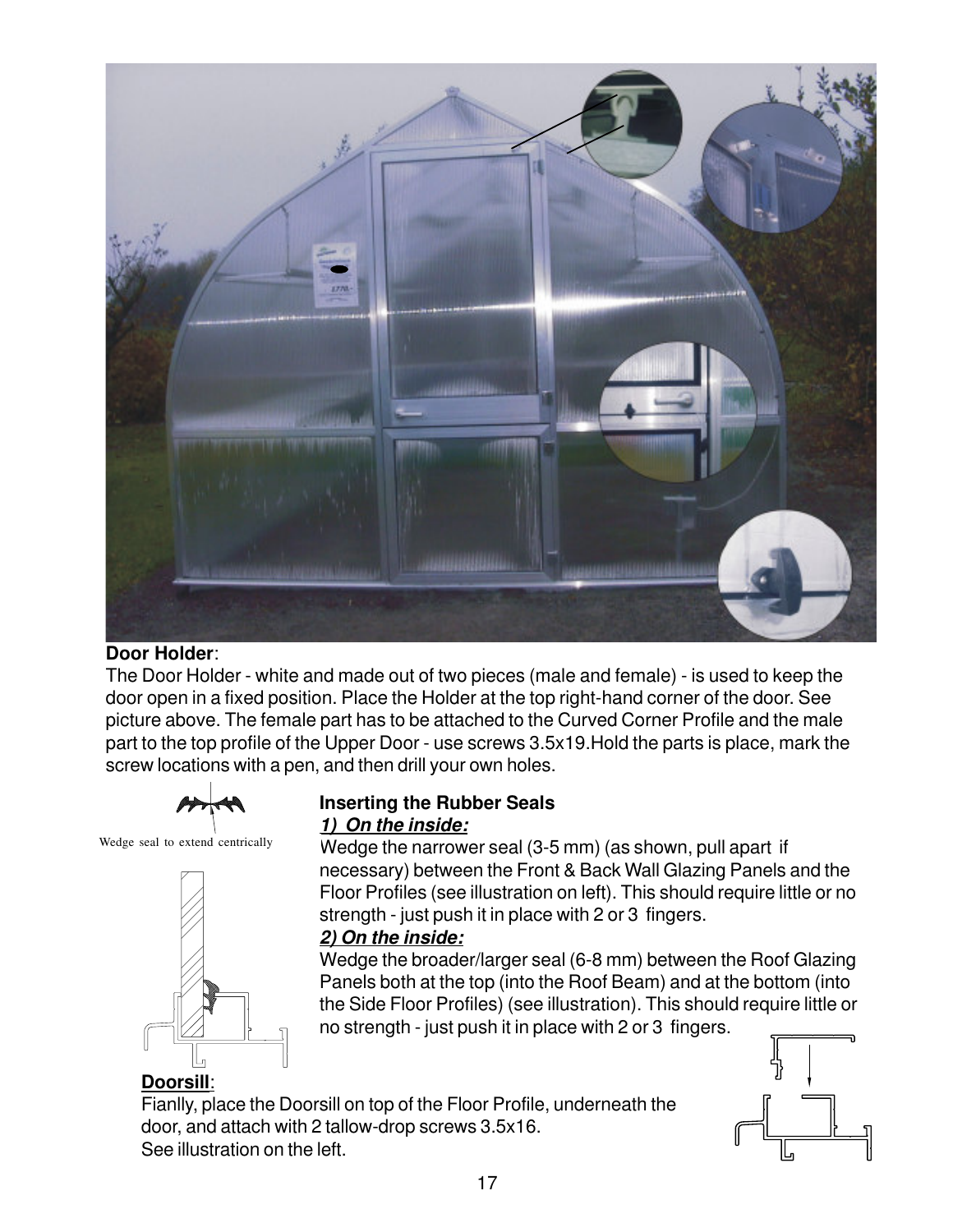

#### **Door Holder**:

The Door Holder - white and made out of two pieces (male and female) - is used to keep the door open in a fixed position. Place the Holder at the top right-hand corner of the door. See picture above. The female part has to be attached to the Curved Corner Profile and the male part to the top profile of the Upper Door - use screws 3.5x19.Hold the parts is place, mark the screw locations with a pen, and then drill your own holes.



#### Wedge seal to extend centrically



#### **Inserting the Rubber Seals 1) On the inside:**

Wedge the narrower seal (3-5 mm) (as shown, pull apart if necessary) between the Front & Back Wall Glazing Panels and the Floor Profiles (see illustration on left). This should require little or no strength - just push it in place with 2 or 3 fingers.

#### **2) On the inside:**

Wedge the broader/larger seal (6-8 mm) between the Roof Glazing Panels both at the top (into the Roof Beam) and at the bottom (into the Side Floor Profiles) (see illustration). This should require little or no strength - just push it in place with 2 or 3 fingers.

#### **Doorsill**:

Fianlly, place the Doorsill on top of the Floor Profile, underneath the door, and attach with 2 tallow-drop screws 3.5x16. See illustration on the left.

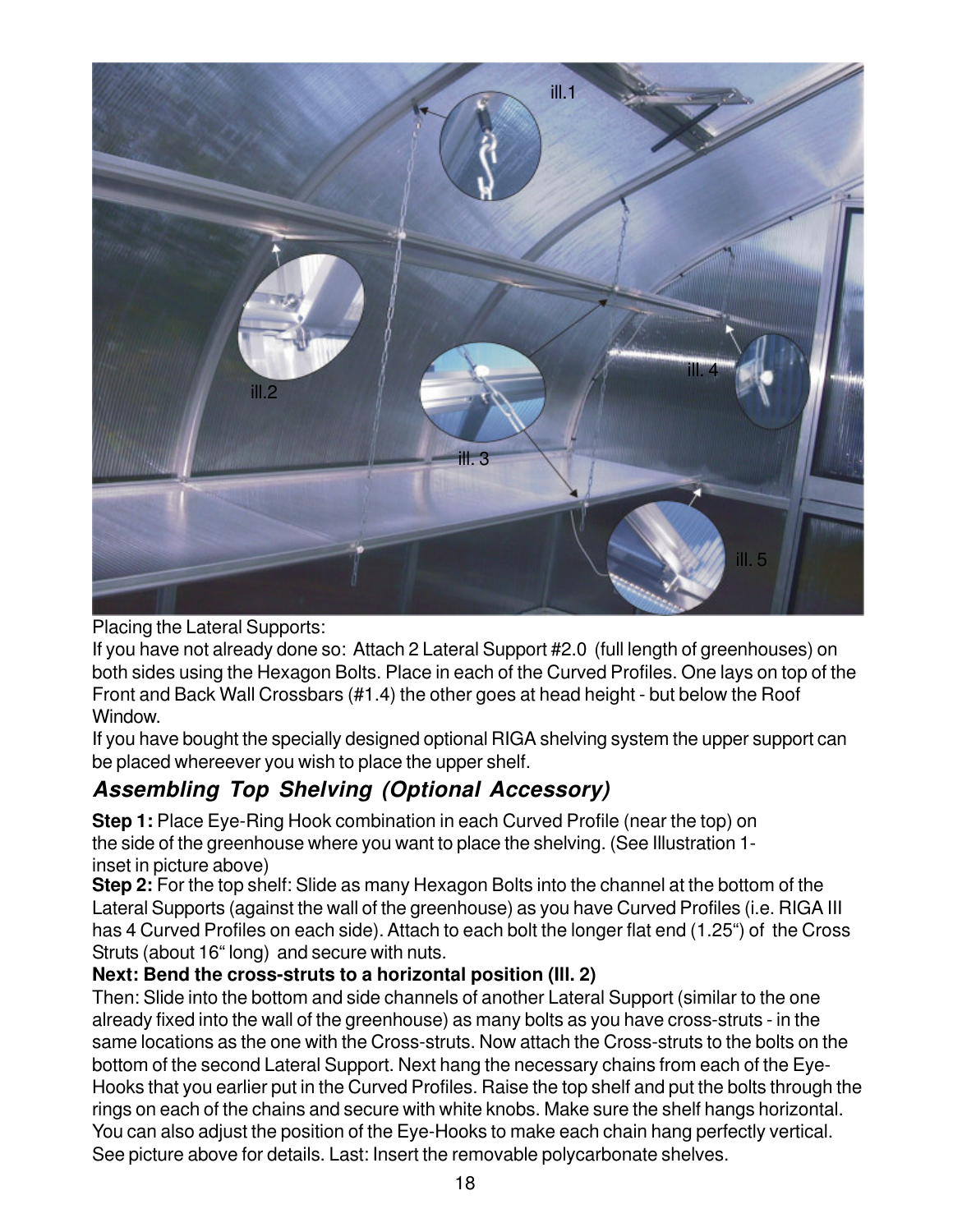

Placing the Lateral Supports:

If you have not already done so: Attach 2 Lateral Support #2.0 (full length of greenhouses) on both sides using the Hexagon Bolts. Place in each of the Curved Profiles. One lays on top of the Front and Back Wall Crossbars (#1.4) the other goes at head height - but below the Roof Window.

If you have bought the specially designed optional RIGA shelving system the upper support can be placed whereever you wish to place the upper shelf.

# **Assembling Top Shelving (Optional Accessory)**

**Step 1:** Place Eye-Ring Hook combination in each Curved Profile (near the top) on the side of the greenhouse where you want to place the shelving. (See Illustration 1 inset in picture above)

**Step 2:** For the top shelf: Slide as many Hexagon Bolts into the channel at the bottom of the Lateral Supports (against the wall of the greenhouse) as you have Curved Profiles (i.e. RIGA III has 4 Curved Profiles on each side). Attach to each bolt the longer flat end (1.25") of the Cross Struts (about 16" long) and secure with nuts.

#### **Next: Bend the cross-struts to a horizontal position (Ill. 2)**

Then: Slide into the bottom and side channels of another Lateral Support (similar to the one already fixed into the wall of the greenhouse) as many bolts as you have cross-struts - in the same locations as the one with the Cross-struts. Now attach the Cross-struts to the bolts on the bottom of the second Lateral Support. Next hang the necessary chains from each of the Eye-Hooks that you earlier put in the Curved Profiles. Raise the top shelf and put the bolts through the rings on each of the chains and secure with white knobs. Make sure the shelf hangs horizontal. You can also adjust the position of the Eye-Hooks to make each chain hang perfectly vertical. See picture above for details. Last: Insert the removable polycarbonate shelves.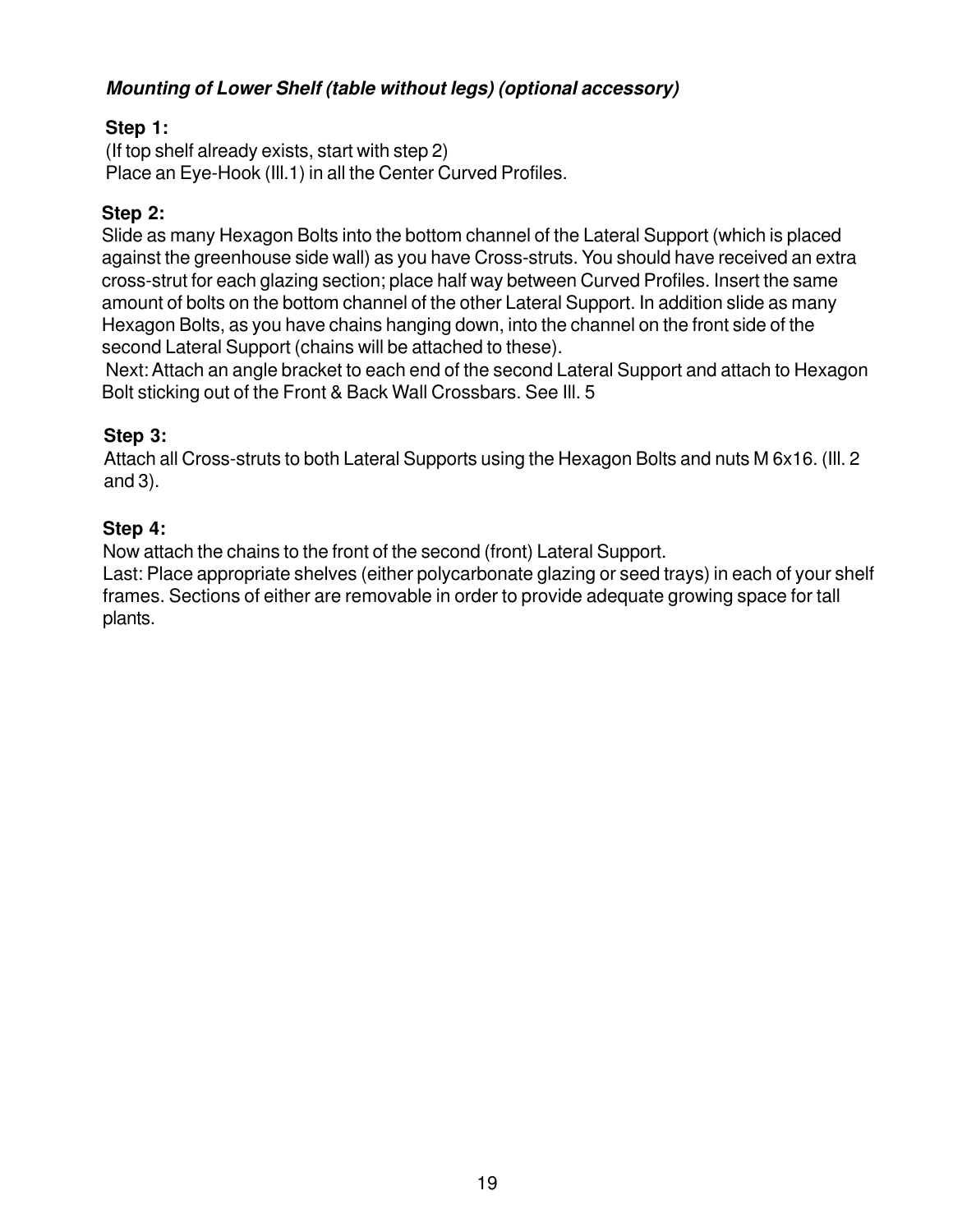#### **Mounting of Lower Shelf (table without legs) (optional accessory)**

#### **Step 1:**

(If top shelf already exists, start with step 2) Place an Eye-Hook (Ill.1) in all the Center Curved Profiles.

#### **Step 2:**

Slide as many Hexagon Bolts into the bottom channel of the Lateral Support (which is placed against the greenhouse side wall) as you have Cross-struts. You should have received an extra cross-strut for each glazing section; place half way between Curved Profiles. Insert the same amount of bolts on the bottom channel of the other Lateral Support. In addition slide as many Hexagon Bolts, as you have chains hanging down, into the channel on the front side of the second Lateral Support (chains will be attached to these).

 Next: Attach an angle bracket to each end of the second Lateral Support and attach to Hexagon Bolt sticking out of the Front & Back Wall Crossbars. See Ill. 5

#### **Step 3:**

Attach all Cross-struts to both Lateral Supports using the Hexagon Bolts and nuts M 6x16. (Ill. 2 and 3).

#### **Step 4:**

Now attach the chains to the front of the second (front) Lateral Support.

Last: Place appropriate shelves (either polycarbonate glazing or seed trays) in each of your shelf frames. Sections of either are removable in order to provide adequate growing space for tall plants.